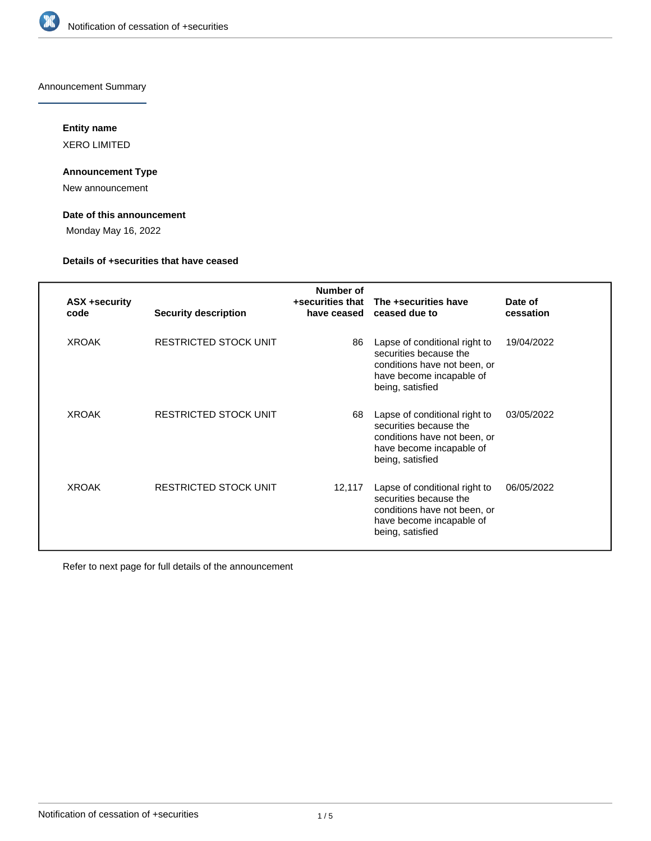

Announcement Summary

## **Entity name**

XERO LIMITED

## **Announcement Type**

New announcement

## **Date of this announcement**

Monday May 16, 2022

## **Details of +securities that have ceased**

| <b>ASX +security</b><br>code | <b>Security description</b>  | Number of<br>+securities that<br>have ceased | The +securities have<br>ceased due to                                                                                                   | Date of<br>cessation |
|------------------------------|------------------------------|----------------------------------------------|-----------------------------------------------------------------------------------------------------------------------------------------|----------------------|
| <b>XROAK</b>                 | <b>RESTRICTED STOCK UNIT</b> | 86                                           | Lapse of conditional right to<br>securities because the<br>conditions have not been, or<br>have become incapable of<br>being, satisfied | 19/04/2022           |
| <b>XROAK</b>                 | <b>RESTRICTED STOCK UNIT</b> | 68                                           | Lapse of conditional right to<br>securities because the<br>conditions have not been, or<br>have become incapable of<br>being, satisfied | 03/05/2022           |
| <b>XROAK</b>                 | <b>RESTRICTED STOCK UNIT</b> | 12,117                                       | Lapse of conditional right to<br>securities because the<br>conditions have not been, or<br>have become incapable of<br>being, satisfied | 06/05/2022           |

Refer to next page for full details of the announcement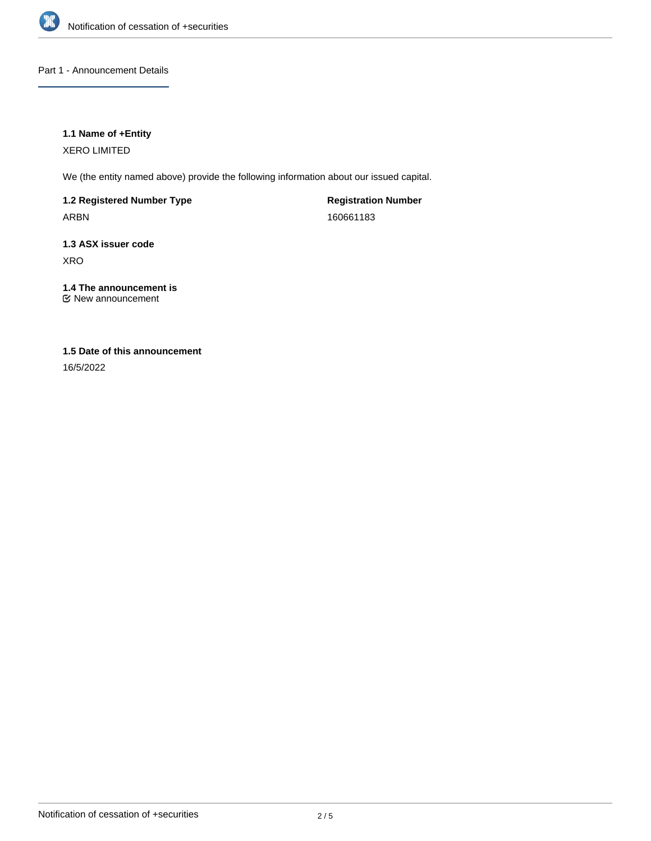

Part 1 - Announcement Details

## **1.1 Name of +Entity**

XERO LIMITED

We (the entity named above) provide the following information about our issued capital.

**1.2 Registered Number Type** ARBN

**Registration Number** 160661183

**1.3 ASX issuer code** XRO

**1.4 The announcement is** New announcement

## **1.5 Date of this announcement**

16/5/2022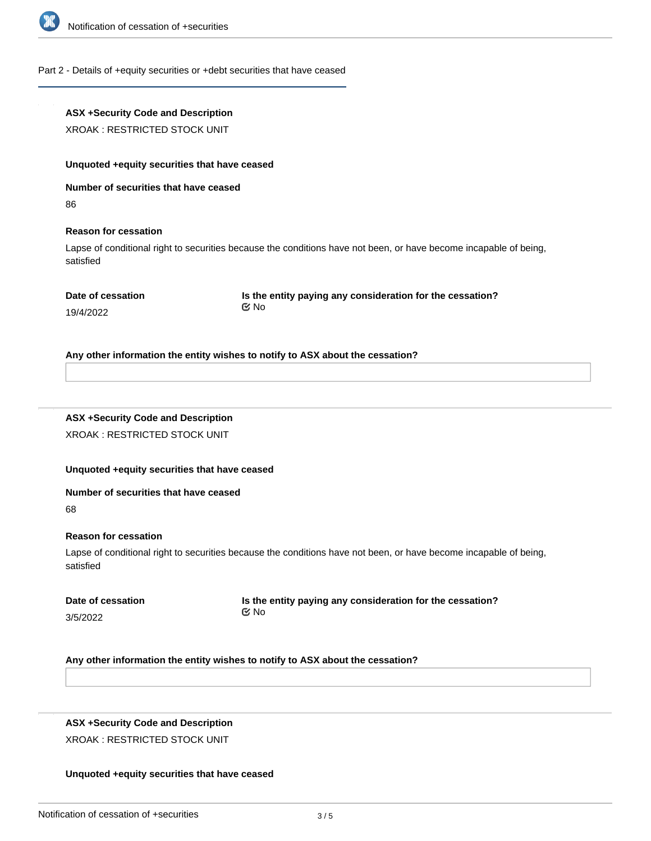

## Part 2 - Details of +equity securities or +debt securities that have ceased

# **ASX +Security Code and Description** XROAK : RESTRICTED STOCK UNIT **Unquoted +equity securities that have ceased Number of securities that have ceased** 86 **Reason for cessation** Lapse of conditional right to securities because the conditions have not been, or have become incapable of being, satisfied **Date of cessation** 19/4/2022 **Is the entity paying any consideration for the cessation?** No

**Any other information the entity wishes to notify to ASX about the cessation?**

# **ASX +Security Code and Description**

XROAK : RESTRICTED STOCK UNIT

## **Unquoted +equity securities that have ceased**

#### **Number of securities that have ceased**

68

### **Reason for cessation**

Lapse of conditional right to securities because the conditions have not been, or have become incapable of being, satisfied

| Date of cessation |  |
|-------------------|--|
| 3/5/2022          |  |

**Is the entity paying any consideration for the cessation?** No

### **Any other information the entity wishes to notify to ASX about the cessation?**

# **ASX +Security Code and Description**

XROAK : RESTRICTED STOCK UNIT

**Number of securities that have ceased**

### **Unquoted +equity securities that have ceased**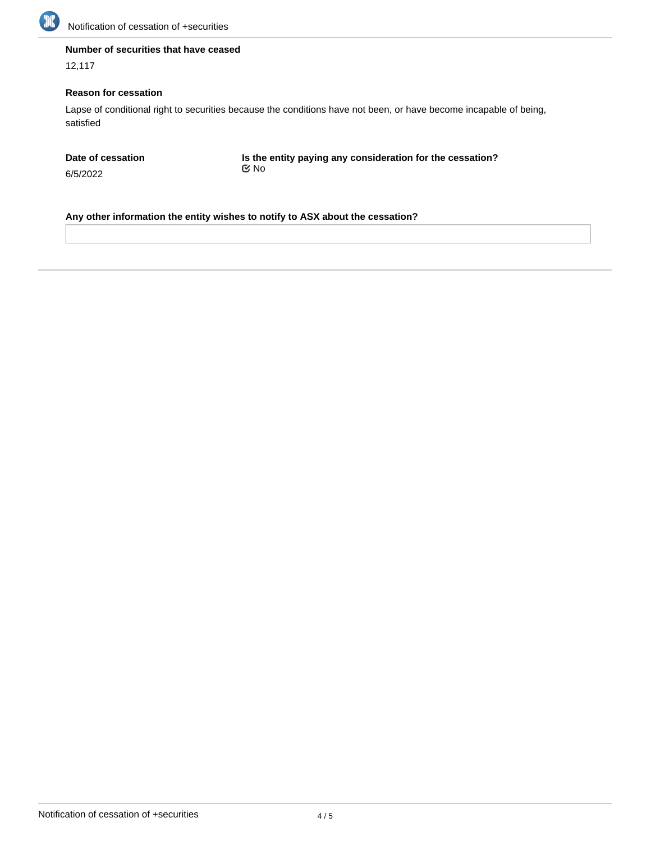

## **Number of securities that have ceased**

12,117

## **Reason for cessation**

Lapse of conditional right to securities because the conditions have not been, or have become incapable of being, satisfied

**Date of cessation**

6/5/2022

**Is the entity paying any consideration for the cessation?** No

**Any other information the entity wishes to notify to ASX about the cessation?**